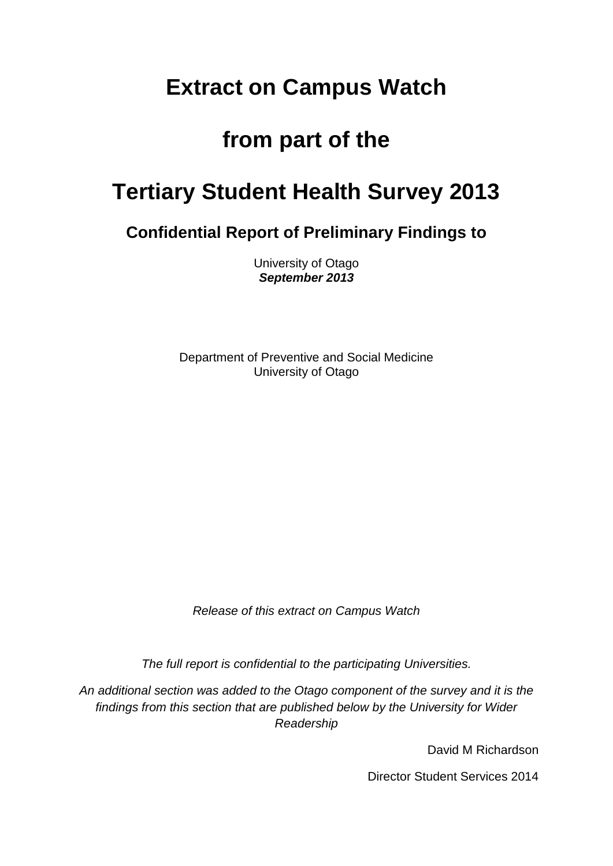# **Extract on Campus Watch**

# **from part of the**

# **Tertiary Student Health Survey 2013**

**Confidential Report of Preliminary Findings to**

University of Otago *September 2013*

Department of Preventive and Social Medicine University of Otago

*Release of this extract on Campus Watch*

*The full report is confidential to the participating Universities.*

*An additional section was added to the Otago component of the survey and it is the findings from this section that are published below by the University for Wider Readership*

David M Richardson

Director Student Services 2014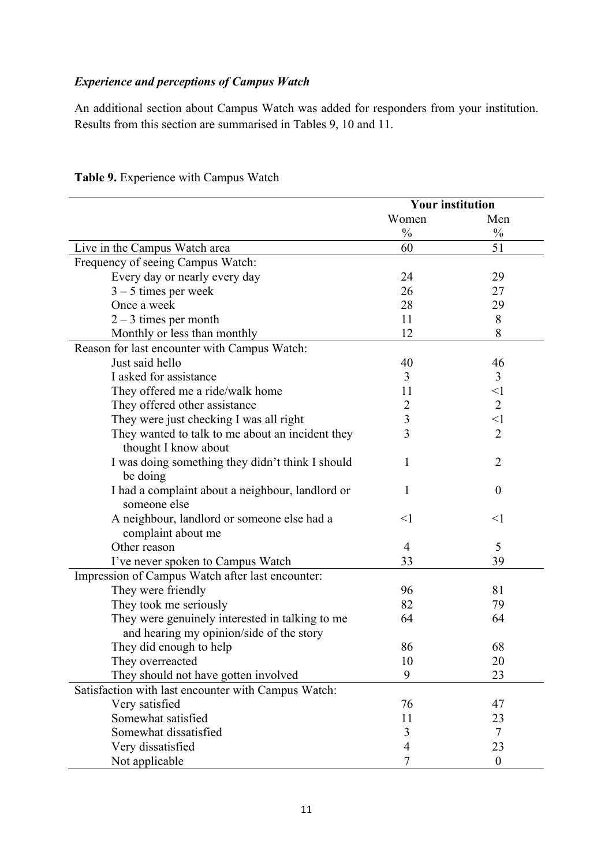## *Experience and perceptions of Campus Watch*

An additional section about Campus Watch was added for responders from your institution. Results from this section are summarised in Tables 9, 10 and 11.

|                                                              | <b>Your institution</b> |                  |
|--------------------------------------------------------------|-------------------------|------------------|
|                                                              | Women                   | Men              |
|                                                              | $\frac{0}{0}$           | $\frac{0}{0}$    |
| Live in the Campus Watch area                                | 60                      | 51               |
| Frequency of seeing Campus Watch:                            |                         |                  |
| Every day or nearly every day                                | 24                      | 29               |
| $3 - 5$ times per week                                       | 26                      | 27               |
| Once a week                                                  | 28                      | 29               |
| $2 - 3$ times per month                                      | 11                      | 8                |
| Monthly or less than monthly                                 | 12                      | 8                |
| Reason for last encounter with Campus Watch:                 |                         |                  |
| Just said hello                                              | 40                      | 46               |
| I asked for assistance                                       | 3                       | 3                |
| They offered me a ride/walk home                             | 11                      | $\leq$ 1         |
| They offered other assistance                                | $\overline{2}$          | $\overline{2}$   |
| They were just checking I was all right                      | $\overline{\mathbf{3}}$ | $\leq$ 1         |
| They wanted to talk to me about an incident they             | 3                       | $\overline{2}$   |
| thought I know about                                         |                         |                  |
| I was doing something they didn't think I should<br>be doing | 1                       | $\overline{2}$   |
| I had a complaint about a neighbour, landlord or             | 1                       | $\theta$         |
| someone else                                                 |                         |                  |
| A neighbour, landlord or someone else had a                  | $<$ 1                   | $<$ 1            |
| complaint about me                                           |                         |                  |
| Other reason                                                 | $\overline{4}$          | 5                |
| I've never spoken to Campus Watch                            | 33                      | 39               |
| Impression of Campus Watch after last encounter:             |                         |                  |
| They were friendly                                           | 96                      | 81               |
| They took me seriously                                       | 82                      | 79               |
| They were genuinely interested in talking to me              | 64                      | 64               |
| and hearing my opinion/side of the story                     |                         |                  |
| They did enough to help                                      | 86                      | 68               |
| They overreacted                                             | 10                      | 20               |
| They should not have gotten involved                         | 9                       | 23               |
| Satisfaction with last encounter with Campus Watch:          |                         |                  |
| Very satisfied                                               | 76                      | 47               |
| Somewhat satisfied                                           | 11                      | 23               |
| Somewhat dissatisfied                                        | 3                       | $\tau$           |
| Very dissatisfied                                            | 4                       | 23               |
| Not applicable                                               | 7                       | $\boldsymbol{0}$ |

## **Table 9.** Experience with Campus Watch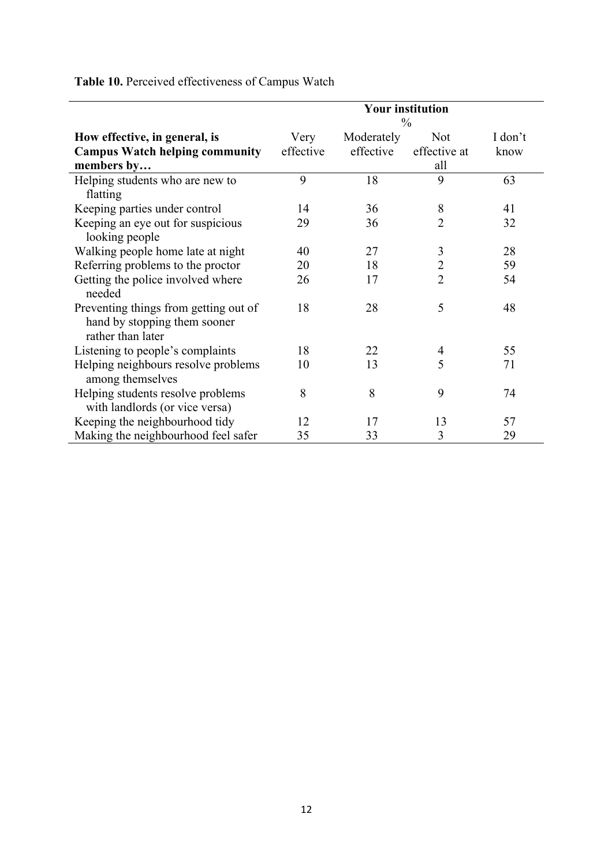|                                                                                            | <b>Your institution</b><br>$\frac{0}{0}$ |                         |                                   |                 |
|--------------------------------------------------------------------------------------------|------------------------------------------|-------------------------|-----------------------------------|-----------------|
| How effective, in general, is<br><b>Campus Watch helping community</b><br>members by       | Very<br>effective                        | Moderately<br>effective | <b>Not</b><br>effective at<br>all | I don't<br>know |
| Helping students who are new to<br>flatting                                                | 9                                        | 18                      | 9                                 | 63              |
| Keeping parties under control                                                              | 14                                       | 36                      | 8                                 | 41              |
| Keeping an eye out for suspicious<br>looking people                                        | 29                                       | 36                      | $\overline{2}$                    | 32              |
| Walking people home late at night                                                          | 40                                       | 27                      | 3                                 | 28              |
| Referring problems to the proctor                                                          | 20                                       | 18                      | $\overline{2}$                    | 59              |
| Getting the police involved where<br>needed                                                | 26                                       | 17                      | $\overline{2}$                    | 54              |
| Preventing things from getting out of<br>hand by stopping them sooner<br>rather than later | 18                                       | 28                      | 5                                 | 48              |
| Listening to people's complaints                                                           | 18                                       | 22                      | 4                                 | 55              |
| Helping neighbours resolve problems<br>among themselves                                    | 10                                       | 13                      | 5                                 | 71              |
| Helping students resolve problems<br>with landlords (or vice versa)                        | 8                                        | 8                       | 9                                 | 74              |
| Keeping the neighbourhood tidy                                                             | 12                                       | 17                      | 13                                | 57              |
| Making the neighbourhood feel safer                                                        | 35                                       | 33                      | 3                                 | 29              |

**Table 10.** Perceived effectiveness of Campus Watch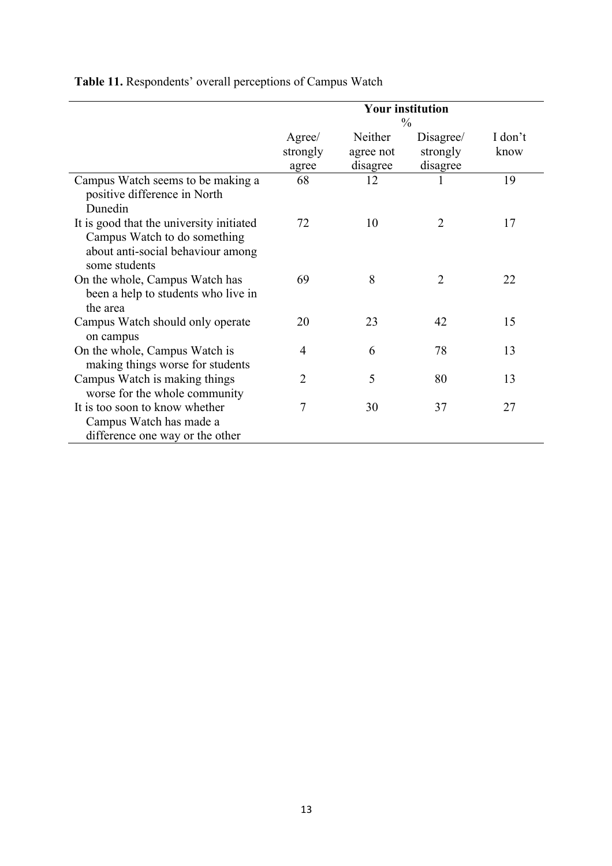|                                                                                                                                | <b>Your institution</b><br>$\frac{0}{0}$ |                                  |                                   |                 |
|--------------------------------------------------------------------------------------------------------------------------------|------------------------------------------|----------------------------------|-----------------------------------|-----------------|
|                                                                                                                                | Agree/<br>strongly<br>agree              | Neither<br>agree not<br>disagree | Disagree/<br>strongly<br>disagree | I don't<br>know |
| Campus Watch seems to be making a<br>positive difference in North<br>Dunedin                                                   | 68                                       | 12                               |                                   | 19              |
| It is good that the university initiated<br>Campus Watch to do something<br>about anti-social behaviour among<br>some students | 72                                       | 10                               | $\overline{2}$                    | 17              |
| On the whole, Campus Watch has<br>been a help to students who live in<br>the area                                              | 69                                       | 8                                | $\overline{2}$                    | 22              |
| Campus Watch should only operate<br>on campus                                                                                  | 20                                       | 23                               | 42                                | 15              |
| On the whole, Campus Watch is<br>making things worse for students                                                              | 4                                        | 6                                | 78                                | 13              |
| Campus Watch is making things<br>worse for the whole community                                                                 | 2                                        | 5                                | 80                                | 13              |
| It is too soon to know whether<br>Campus Watch has made a<br>difference one way or the other                                   | 7                                        | 30                               | 37                                | 27              |

**Table 11.** Respondents' overall perceptions of Campus Watch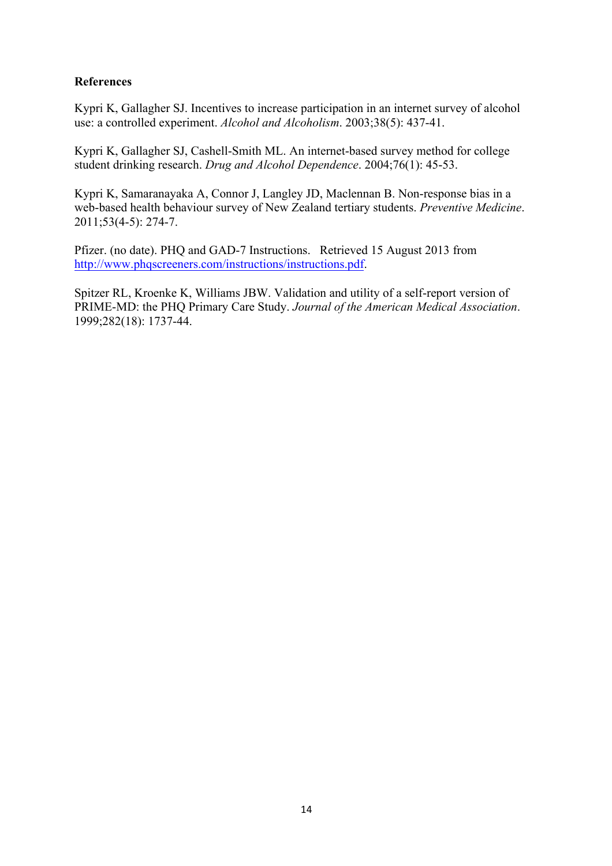#### **References**

Kypri K, Gallagher SJ. Incentives to increase participation in an internet survey of alcohol use: a controlled experiment. *Alcohol and Alcoholism*. 2003;38(5): 437-41.

Kypri K, Gallagher SJ, Cashell-Smith ML. An internet-based survey method for college student drinking research. *Drug and Alcohol Dependence*. 2004;76(1): 45-53.

Kypri K, Samaranayaka A, Connor J, Langley JD, Maclennan B. Non-response bias in a web-based health behaviour survey of New Zealand tertiary students. *Preventive Medicine*. 2011;53(4-5): 274-7.

Pfizer. (no date). PHQ and GAD-7 Instructions. Retrieved 15 August 2013 from http://www.phqscreeners.com/instructions/instructions.pdf.

Spitzer RL, Kroenke K, Williams JBW. Validation and utility of a self-report version of PRIME-MD: the PHQ Primary Care Study. *Journal of the American Medical Association*. 1999;282(18): 1737-44.